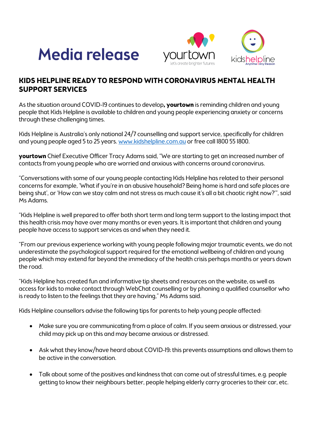



## **KIDS HELPLINE READY TO RESPOND WITH CORONAVIRUS MENTAL HEALTH SUPPORT SERVICES**

As the situation around COVID-19 continues to develop**, yourtown** is reminding children and young people that Kids Helpline is available to children and young people experiencing anxiety or concerns through these challenging times.

Kids Helpline is Australia's only national 24/7 counselling and support service, specifically for children and young people aged 5 to 25 years. www.kidshelpline.com.au or free call 1800 55 1800.

**yourtown** Chief Executive Officer Tracy Adams said, "We are starting to get an increased number of contacts from young people who are worried and anxious with concerns around coronavirus.

"Conversations with some of our young people contacting Kids Helpline has related to their personal concerns for example, 'What if you're in an abusive household? Being home is hard and safe places are being shut', or 'How can we stay calm and not stress as much cause it's all a bit chaotic right now?'", said Ms Adams.

"Kids Helpline is well prepared to offer both short term and long term support to the lasting impact that this health crisis may have over many months or even years. It is important that children and young people have access to support services as and when they need it.

"From our previous experience working with young people following major traumatic events, we do not underestimate the psychological support required for the emotional wellbeing of children and young people which may extend far beyond the immediacy of the health crisis perhaps months or years down the road.

"Kids Helpline has created fun and informative tip sheets and resources on the website, as well as access for kids to make contact through WebChat counselling or by phoning a qualified counsellor who is ready to listen to the feelings that they are having," Ms Adams said.

Kids Helpline counsellors advise the following tips for parents to help young people affected:

- Make sure you are communicating from a place of calm. If you seem anxious or distressed, your child may pick up on this and may became anxious or distressed.
- Ask what they know/have heard about COVID-19; this prevents assumptions and allows them to be active in the conversation.
- Talk about some of the positives and kindness that can come out of stressful times, e.g. people getting to know their neighbours better, people helping elderly carry groceries to their car, etc.